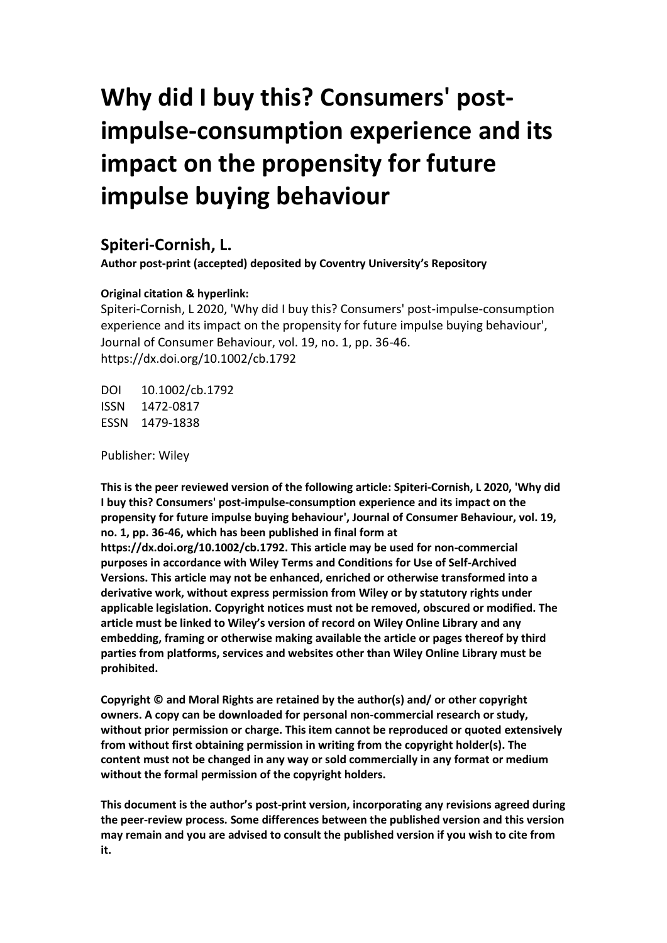# **Why did I buy this? Consumers' postimpulse-consumption experience and its impact on the propensity for future impulse buying behaviour**

### **Spiteri-Cornish, L.**

**Author post-print (accepted) deposited by Coventry University's Repository**

#### **Original citation & hyperlink:**

Spiteri-Cornish, L 2020, 'Why did I buy this? Consumers' post-impulse-consumption experience and its impact on the propensity for future impulse buying behaviour', Journal of Consumer Behaviour, vol. 19, no. 1, pp. 36-46. https://dx.doi.org/10.1002/cb.1792

DOI 10.1002/cb.1792 ISSN 1472-0817 ESSN 1479-1838

Publisher: Wiley

**This is the peer reviewed version of the following article: Spiteri-Cornish, L 2020, 'Why did I buy this? Consumers' post-impulse-consumption experience and its impact on the propensity for future impulse buying behaviour', Journal of Consumer Behaviour, vol. 19, no. 1, pp. 36-46, which has been published in final form at https://dx.doi.org/10.1002/cb.1792. This article may be used for non-commercial purposes in accordance with Wiley Terms and Conditions for Use of Self-Archived Versions. This article may not be enhanced, enriched or otherwise transformed into a derivative work, without express permission from Wiley or by statutory rights under applicable legislation. Copyright notices must not be removed, obscured or modified. The article must be linked to Wiley's version of record on Wiley Online Library and any embedding, framing or otherwise making available the article or pages thereof by third parties from platforms, services and websites other than Wiley Online Library must be prohibited.**

**Copyright © and Moral Rights are retained by the author(s) and/ or other copyright owners. A copy can be downloaded for personal non-commercial research or study, without prior permission or charge. This item cannot be reproduced or quoted extensively from without first obtaining permission in writing from the copyright holder(s). The content must not be changed in any way or sold commercially in any format or medium without the formal permission of the copyright holders.** 

**This document is the author's post-print version, incorporating any revisions agreed during the peer-review process. Some differences between the published version and this version may remain and you are advised to consult the published version if you wish to cite from it.**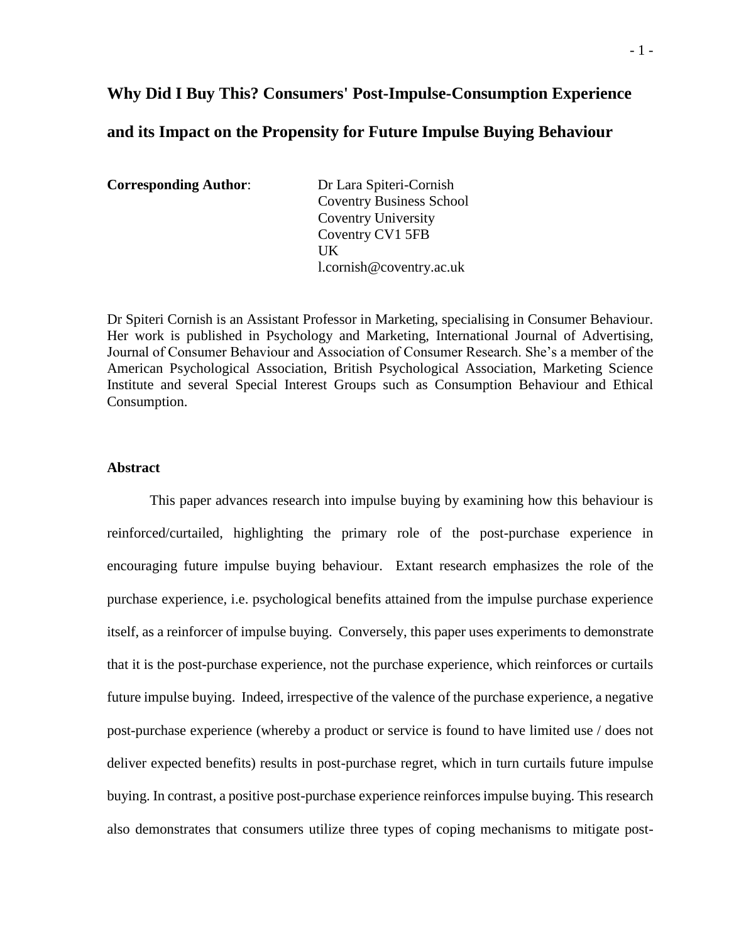## **Why Did I Buy This? Consumers' Post-Impulse-Consumption Experience and its Impact on the Propensity for Future Impulse Buying Behaviour**

**Corresponding Author**: Dr Lara Spiteri-Cornish

Coventry Business School Coventry University Coventry CV1 5FB UK [l.cornish@coventry.ac.uk](mailto:l.cornish@coventry.ac.uk)

Dr Spiteri Cornish is an Assistant Professor in Marketing, specialising in Consumer Behaviour. Her work is published in Psychology and Marketing, International Journal of Advertising, Journal of Consumer Behaviour and Association of Consumer Research. She's a member of the American Psychological Association, British Psychological Association, Marketing Science Institute and several Special Interest Groups such as Consumption Behaviour and Ethical Consumption.

#### **Abstract**

This paper advances research into impulse buying by examining how this behaviour is reinforced/curtailed, highlighting the primary role of the post-purchase experience in encouraging future impulse buying behaviour. Extant research emphasizes the role of the purchase experience, i.e. psychological benefits attained from the impulse purchase experience itself, as a reinforcer of impulse buying. Conversely, this paper uses experiments to demonstrate that it is the post-purchase experience, not the purchase experience, which reinforces or curtails future impulse buying. Indeed, irrespective of the valence of the purchase experience, a negative post-purchase experience (whereby a product or service is found to have limited use / does not deliver expected benefits) results in post-purchase regret, which in turn curtails future impulse buying. In contrast, a positive post-purchase experience reinforces impulse buying. This research also demonstrates that consumers utilize three types of coping mechanisms to mitigate post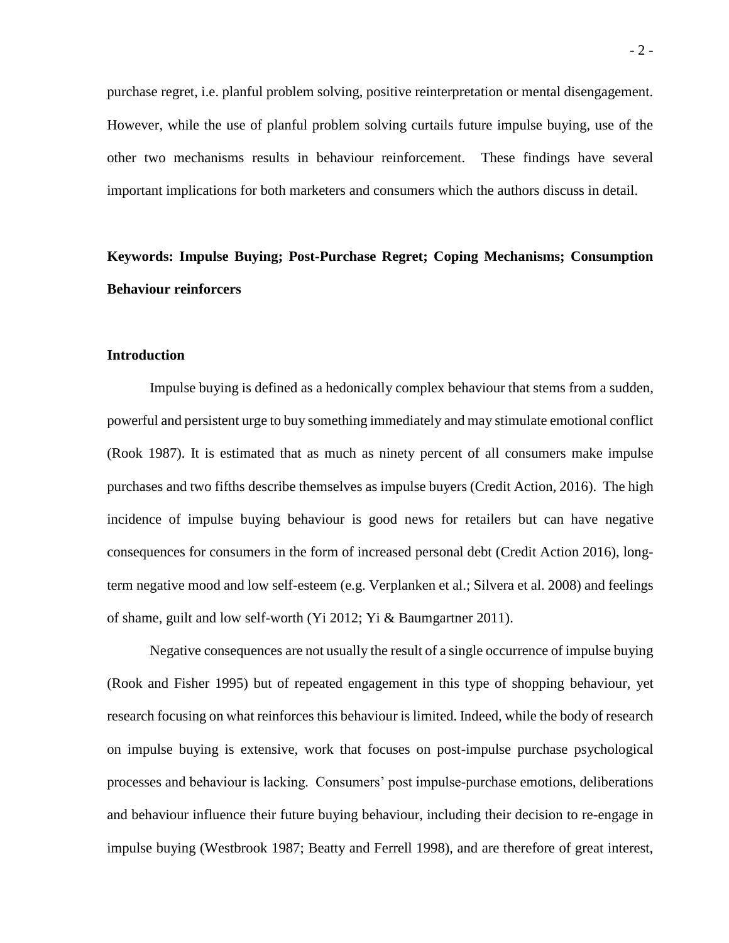purchase regret, i.e. planful problem solving, positive reinterpretation or mental disengagement. However, while the use of planful problem solving curtails future impulse buying, use of the other two mechanisms results in behaviour reinforcement. These findings have several important implications for both marketers and consumers which the authors discuss in detail.

## **Keywords: Impulse Buying; Post-Purchase Regret; Coping Mechanisms; Consumption Behaviour reinforcers**

#### **Introduction**

Impulse buying is defined as a hedonically complex behaviour that stems from a sudden, powerful and persistent urge to buy something immediately and may stimulate emotional conflict (Rook 1987). It is estimated that as much as ninety percent of all consumers make impulse purchases and two fifths describe themselves as impulse buyers (Credit Action, 2016). The high incidence of impulse buying behaviour is good news for retailers but can have negative consequences for consumers in the form of increased personal debt (Credit Action 2016), longterm negative mood and low self-esteem (e.g. Verplanken et al.; Silvera et al. 2008) and feelings of shame, guilt and low self-worth (Yi 2012; Yi & Baumgartner 2011).

Negative consequences are not usually the result of a single occurrence of impulse buying (Rook and Fisher 1995) but of repeated engagement in this type of shopping behaviour, yet research focusing on what reinforces this behaviour is limited. Indeed, while the body of research on impulse buying is extensive, work that focuses on post-impulse purchase psychological processes and behaviour is lacking. Consumers' post impulse-purchase emotions, deliberations and behaviour influence their future buying behaviour, including their decision to re-engage in impulse buying (Westbrook 1987; Beatty and Ferrell 1998), and are therefore of great interest,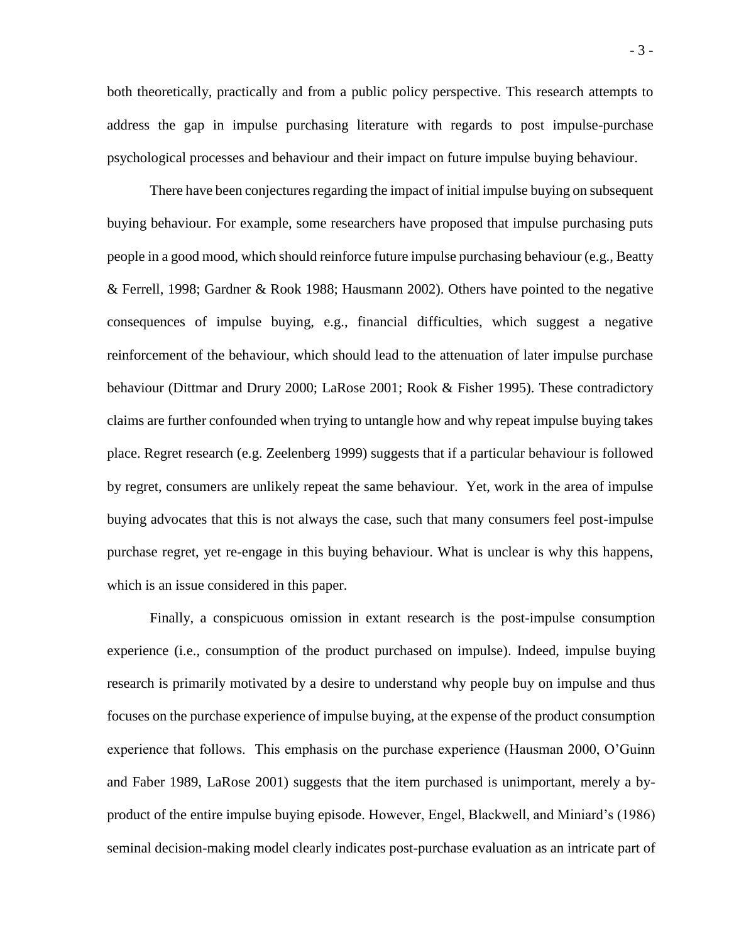both theoretically, practically and from a public policy perspective. This research attempts to address the gap in impulse purchasing literature with regards to post impulse-purchase psychological processes and behaviour and their impact on future impulse buying behaviour.

There have been conjectures regarding the impact of initial impulse buying on subsequent buying behaviour. For example, some researchers have proposed that impulse purchasing puts people in a good mood, which should reinforce future impulse purchasing behaviour (e.g., Beatty & Ferrell, 1998; Gardner & Rook 1988; Hausmann 2002). Others have pointed to the negative consequences of impulse buying, e.g., financial difficulties, which suggest a negative reinforcement of the behaviour, which should lead to the attenuation of later impulse purchase behaviour (Dittmar and Drury 2000; LaRose 2001; Rook & Fisher 1995). These contradictory claims are further confounded when trying to untangle how and why repeat impulse buying takes place. Regret research (e.g. Zeelenberg 1999) suggests that if a particular behaviour is followed by regret, consumers are unlikely repeat the same behaviour. Yet, work in the area of impulse buying advocates that this is not always the case, such that many consumers feel post-impulse purchase regret, yet re-engage in this buying behaviour. What is unclear is why this happens, which is an issue considered in this paper.

Finally, a conspicuous omission in extant research is the post-impulse consumption experience (i.e., consumption of the product purchased on impulse). Indeed, impulse buying research is primarily motivated by a desire to understand why people buy on impulse and thus focuses on the purchase experience of impulse buying, at the expense of the product consumption experience that follows. This emphasis on the purchase experience (Hausman 2000, O'Guinn and Faber 1989, LaRose 2001) suggests that the item purchased is unimportant, merely a byproduct of the entire impulse buying episode. However, Engel, Blackwell, and Miniard's (1986) seminal decision-making model clearly indicates post-purchase evaluation as an intricate part of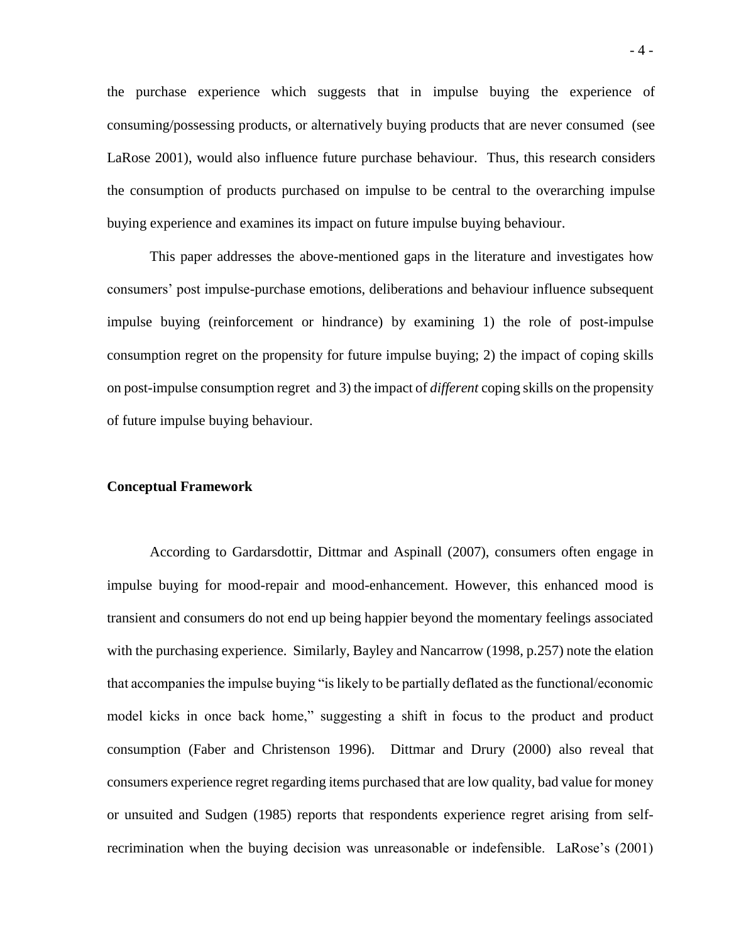the purchase experience which suggests that in impulse buying the experience of consuming/possessing products, or alternatively buying products that are never consumed (see LaRose 2001), would also influence future purchase behaviour. Thus, this research considers the consumption of products purchased on impulse to be central to the overarching impulse buying experience and examines its impact on future impulse buying behaviour.

This paper addresses the above-mentioned gaps in the literature and investigates how consumers' post impulse-purchase emotions, deliberations and behaviour influence subsequent impulse buying (reinforcement or hindrance) by examining 1) the role of post-impulse consumption regret on the propensity for future impulse buying; 2) the impact of coping skills on post-impulse consumption regret and 3) the impact of *different* coping skills on the propensity of future impulse buying behaviour.

#### **Conceptual Framework**

According to Gardarsdottir, Dittmar and Aspinall (2007), consumers often engage in impulse buying for mood-repair and mood-enhancement. However, this enhanced mood is transient and consumers do not end up being happier beyond the momentary feelings associated with the purchasing experience. Similarly, Bayley and Nancarrow (1998, p.257) note the elation that accompanies the impulse buying "is likely to be partially deflated as the functional/economic model kicks in once back home," suggesting a shift in focus to the product and product consumption (Faber and Christenson 1996). Dittmar and Drury (2000) also reveal that consumers experience regret regarding items purchased that are low quality, bad value for money or unsuited and Sudgen (1985) reports that respondents experience regret arising from selfrecrimination when the buying decision was unreasonable or indefensible. LaRose's (2001)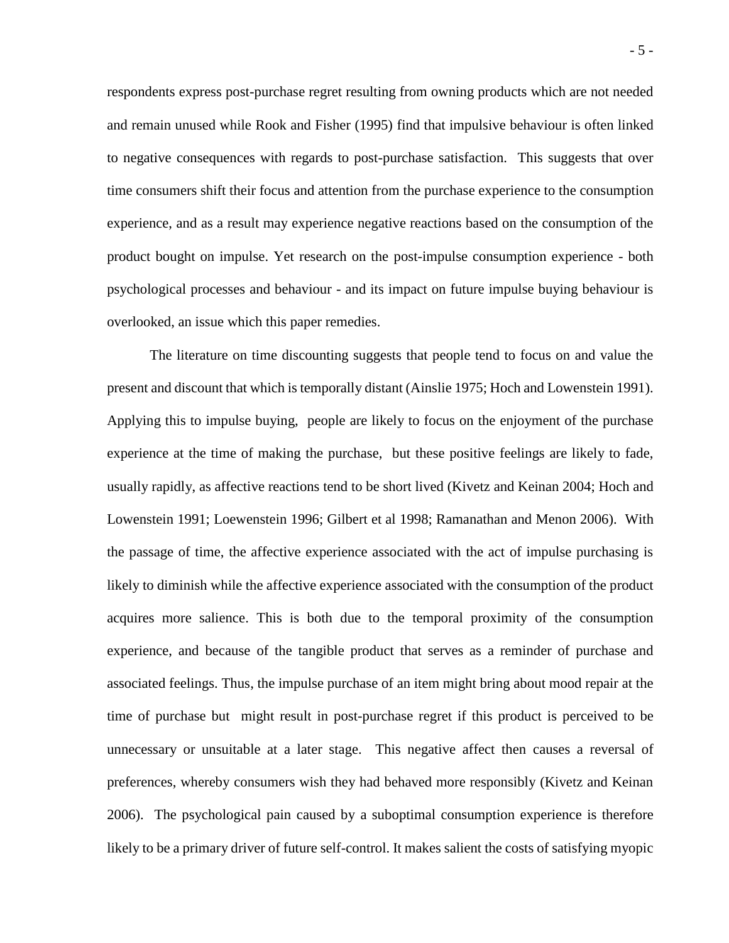respondents express post-purchase regret resulting from owning products which are not needed and remain unused while Rook and Fisher (1995) find that impulsive behaviour is often linked to negative consequences with regards to post-purchase satisfaction. This suggests that over time consumers shift their focus and attention from the purchase experience to the consumption experience, and as a result may experience negative reactions based on the consumption of the product bought on impulse. Yet research on the post-impulse consumption experience - both psychological processes and behaviour - and its impact on future impulse buying behaviour is overlooked, an issue which this paper remedies.

The literature on time discounting suggests that people tend to focus on and value the present and discount that which is temporally distant (Ainslie 1975; Hoch and Lowenstein 1991). Applying this to impulse buying, people are likely to focus on the enjoyment of the purchase experience at the time of making the purchase, but these positive feelings are likely to fade, usually rapidly, as affective reactions tend to be short lived (Kivetz and Keinan 2004; Hoch and Lowenstein 1991; Loewenstein 1996; Gilbert et al 1998; Ramanathan and Menon 2006). With the passage of time, the affective experience associated with the act of impulse purchasing is likely to diminish while the affective experience associated with the consumption of the product acquires more salience. This is both due to the temporal proximity of the consumption experience, and because of the tangible product that serves as a reminder of purchase and associated feelings. Thus, the impulse purchase of an item might bring about mood repair at the time of purchase but might result in post-purchase regret if this product is perceived to be unnecessary or unsuitable at a later stage. This negative affect then causes a reversal of preferences, whereby consumers wish they had behaved more responsibly (Kivetz and Keinan 2006). The psychological pain caused by a suboptimal consumption experience is therefore likely to be a primary driver of future self-control. It makes salient the costs of satisfying myopic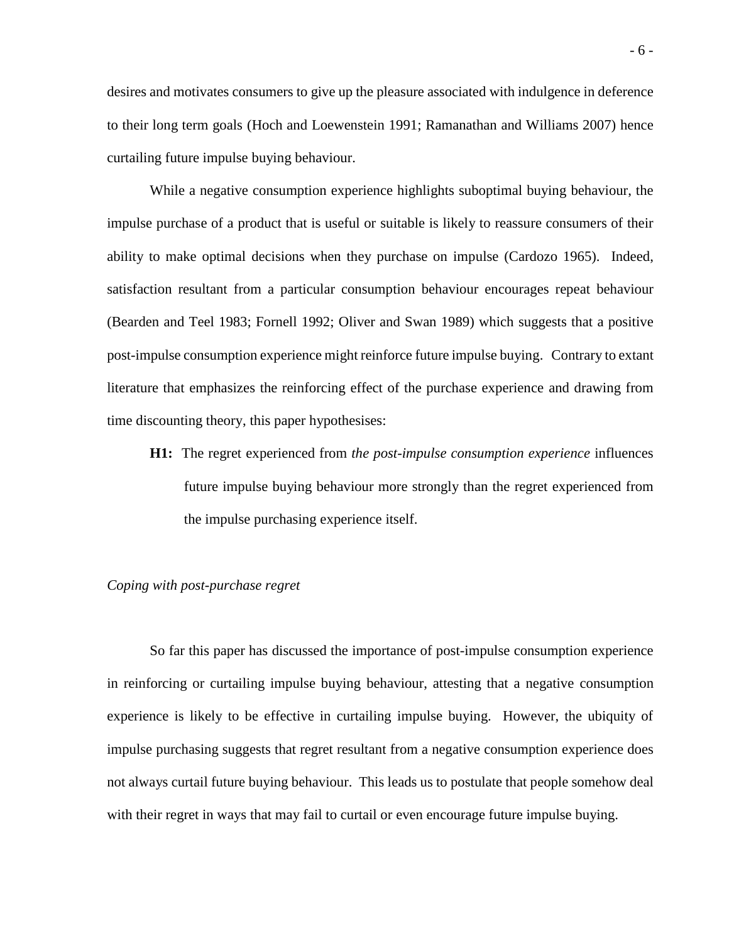desires and motivates consumers to give up the pleasure associated with indulgence in deference to their long term goals (Hoch and Loewenstein 1991; Ramanathan and Williams 2007) hence curtailing future impulse buying behaviour.

While a negative consumption experience highlights suboptimal buying behaviour, the impulse purchase of a product that is useful or suitable is likely to reassure consumers of their ability to make optimal decisions when they purchase on impulse (Cardozo 1965). Indeed, satisfaction resultant from a particular consumption behaviour encourages repeat behaviour (Bearden and Teel 1983; Fornell 1992; Oliver and Swan 1989) which suggests that a positive post-impulse consumption experience might reinforce future impulse buying. Contrary to extant literature that emphasizes the reinforcing effect of the purchase experience and drawing from time discounting theory, this paper hypothesises:

**H1:** The regret experienced from *the post-impulse consumption experience* influences future impulse buying behaviour more strongly than the regret experienced from the impulse purchasing experience itself.

#### *Coping with post-purchase regret*

So far this paper has discussed the importance of post-impulse consumption experience in reinforcing or curtailing impulse buying behaviour, attesting that a negative consumption experience is likely to be effective in curtailing impulse buying. However, the ubiquity of impulse purchasing suggests that regret resultant from a negative consumption experience does not always curtail future buying behaviour. This leads us to postulate that people somehow deal with their regret in ways that may fail to curtail or even encourage future impulse buying.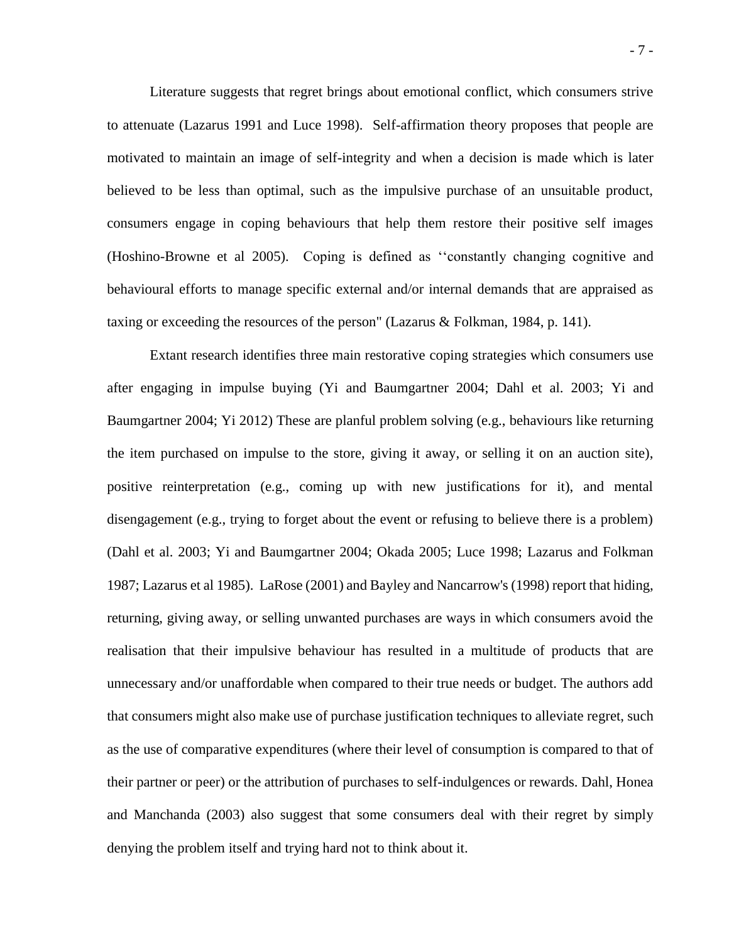Literature suggests that regret brings about emotional conflict, which consumers strive to attenuate (Lazarus 1991 and Luce 1998). Self-affirmation theory proposes that people are motivated to maintain an image of self-integrity and when a decision is made which is later believed to be less than optimal, such as the impulsive purchase of an unsuitable product, consumers engage in coping behaviours that help them restore their positive self images (Hoshino-Browne et al 2005). Coping is defined as ''constantly changing cognitive and behavioural efforts to manage specific external and/or internal demands that are appraised as taxing or exceeding the resources of the person" (Lazarus & Folkman, 1984, p. 141).

Extant research identifies three main restorative coping strategies which consumers use after engaging in impulse buying (Yi and Baumgartner 2004; Dahl et al. 2003; Yi and Baumgartner 2004; Yi 2012) These are planful problem solving (e.g., behaviours like returning the item purchased on impulse to the store, giving it away, or selling it on an auction site), positive reinterpretation (e.g., coming up with new justifications for it), and mental disengagement (e.g., trying to forget about the event or refusing to believe there is a problem) (Dahl et al. 2003; Yi and Baumgartner 2004; Okada 2005; Luce 1998; Lazarus and Folkman 1987; Lazarus et al 1985). LaRose (2001) and Bayley and Nancarrow's (1998) report that hiding, returning, giving away, or selling unwanted purchases are ways in which consumers avoid the realisation that their impulsive behaviour has resulted in a multitude of products that are unnecessary and/or unaffordable when compared to their true needs or budget. The authors add that consumers might also make use of purchase justification techniques to alleviate regret, such as the use of comparative expenditures (where their level of consumption is compared to that of their partner or peer) or the attribution of purchases to self-indulgences or rewards. Dahl, Honea and Manchanda (2003) also suggest that some consumers deal with their regret by simply denying the problem itself and trying hard not to think about it.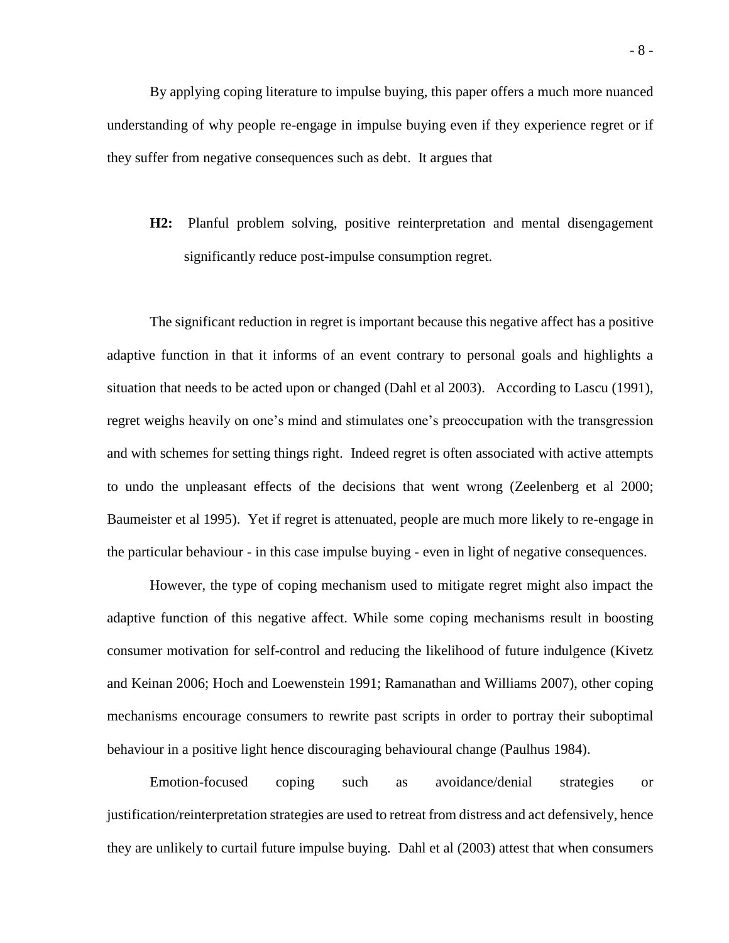By applying coping literature to impulse buying, this paper offers a much more nuanced understanding of why people re-engage in impulse buying even if they experience regret or if they suffer from negative consequences such as debt. It argues that

**H2:** Planful problem solving, positive reinterpretation and mental disengagement significantly reduce post-impulse consumption regret.

The significant reduction in regret is important because this negative affect has a positive adaptive function in that it informs of an event contrary to personal goals and highlights a situation that needs to be acted upon or changed (Dahl et al 2003). According to Lascu (1991), regret weighs heavily on one's mind and stimulates one's preoccupation with the transgression and with schemes for setting things right. Indeed regret is often associated with active attempts to undo the unpleasant effects of the decisions that went wrong (Zeelenberg et al 2000; Baumeister et al 1995). Yet if regret is attenuated, people are much more likely to re-engage in the particular behaviour - in this case impulse buying - even in light of negative consequences.

However, the type of coping mechanism used to mitigate regret might also impact the adaptive function of this negative affect. While some coping mechanisms result in boosting consumer motivation for self-control and reducing the likelihood of future indulgence (Kivetz and Keinan 2006; Hoch and Loewenstein 1991; Ramanathan and Williams 2007), other coping mechanisms encourage consumers to rewrite past scripts in order to portray their suboptimal behaviour in a positive light hence discouraging behavioural change (Paulhus 1984).

Emotion-focused coping such as avoidance/denial strategies or justification/reinterpretation strategies are used to retreat from distress and act defensively, hence they are unlikely to curtail future impulse buying. Dahl et al (2003) attest that when consumers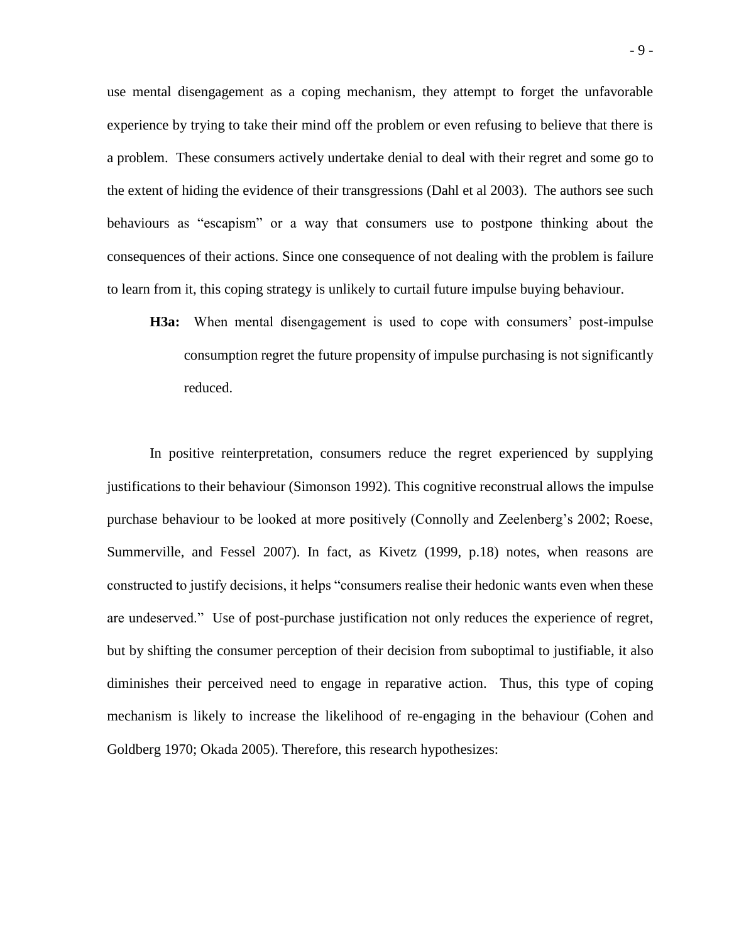use mental disengagement as a coping mechanism, they attempt to forget the unfavorable experience by trying to take their mind off the problem or even refusing to believe that there is a problem. These consumers actively undertake denial to deal with their regret and some go to the extent of hiding the evidence of their transgressions (Dahl et al 2003). The authors see such behaviours as "escapism" or a way that consumers use to postpone thinking about the consequences of their actions. Since one consequence of not dealing with the problem is failure to learn from it, this coping strategy is unlikely to curtail future impulse buying behaviour.

**H3a:** When mental disengagement is used to cope with consumers' post-impulse consumption regret the future propensity of impulse purchasing is not significantly reduced.

In positive reinterpretation, consumers reduce the regret experienced by supplying justifications to their behaviour (Simonson 1992). This cognitive reconstrual allows the impulse purchase behaviour to be looked at more positively (Connolly and Zeelenberg's 2002; Roese, Summerville, and Fessel 2007). In fact, as Kivetz (1999, p.18) notes, when reasons are constructed to justify decisions, it helps "consumers realise their hedonic wants even when these are undeserved." Use of post-purchase justification not only reduces the experience of regret, but by shifting the consumer perception of their decision from suboptimal to justifiable, it also diminishes their perceived need to engage in reparative action. Thus, this type of coping mechanism is likely to increase the likelihood of re-engaging in the behaviour (Cohen and Goldberg 1970; Okada 2005). Therefore, this research hypothesizes: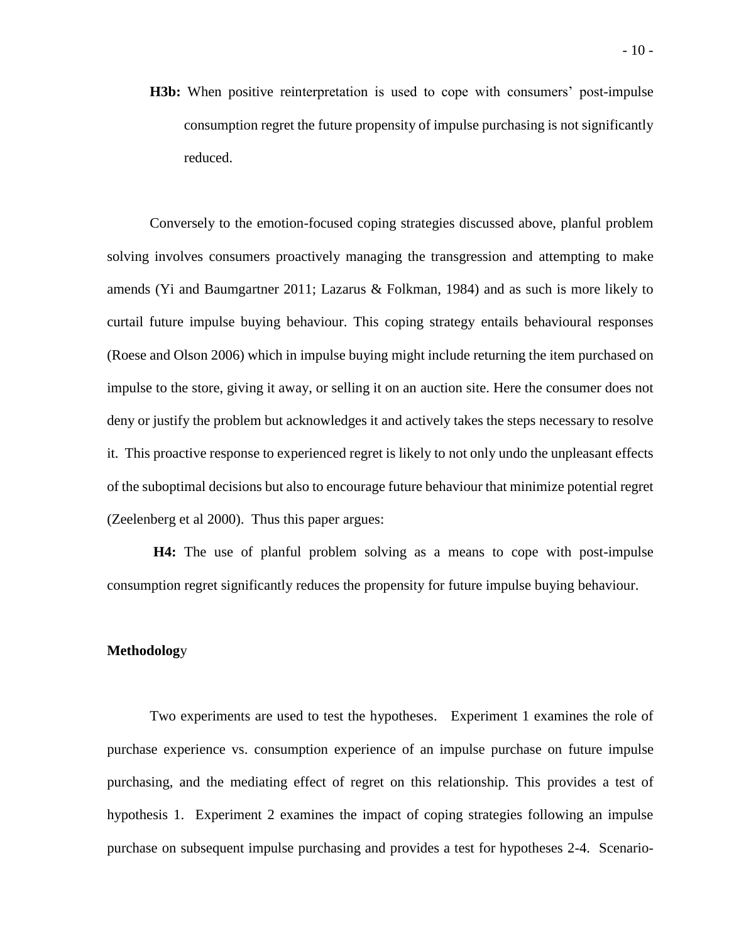**H3b:** When positive reinterpretation is used to cope with consumers' post-impulse consumption regret the future propensity of impulse purchasing is not significantly reduced.

Conversely to the emotion-focused coping strategies discussed above, planful problem solving involves consumers proactively managing the transgression and attempting to make amends (Yi and Baumgartner 2011; Lazarus & Folkman, 1984) and as such is more likely to curtail future impulse buying behaviour. This coping strategy entails behavioural responses (Roese and Olson 2006) which in impulse buying might include returning the item purchased on impulse to the store, giving it away, or selling it on an auction site. Here the consumer does not deny or justify the problem but acknowledges it and actively takes the steps necessary to resolve it. This proactive response to experienced regret is likely to not only undo the unpleasant effects of the suboptimal decisions but also to encourage future behaviour that minimize potential regret (Zeelenberg et al 2000). Thus this paper argues:

**H4:** The use of planful problem solving as a means to cope with post-impulse consumption regret significantly reduces the propensity for future impulse buying behaviour.

#### **Methodolog**y

Two experiments are used to test the hypotheses. Experiment 1 examines the role of purchase experience vs. consumption experience of an impulse purchase on future impulse purchasing, and the mediating effect of regret on this relationship. This provides a test of hypothesis 1. Experiment 2 examines the impact of coping strategies following an impulse purchase on subsequent impulse purchasing and provides a test for hypotheses 2-4. Scenario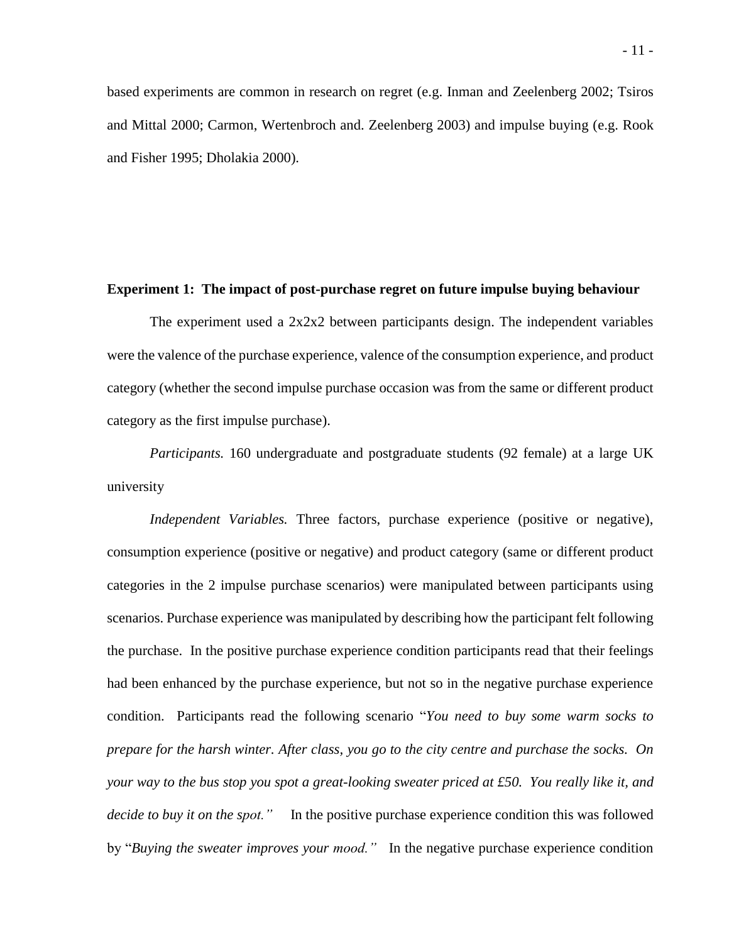based experiments are common in research on regret (e.g. Inman and Zeelenberg 2002; Tsiros and Mittal 2000; Carmon, Wertenbroch and. Zeelenberg 2003) and impulse buying (e.g. Rook and Fisher 1995; Dholakia 2000).

#### **Experiment 1: The impact of post-purchase regret on future impulse buying behaviour**

The experiment used a 2x2x2 between participants design. The independent variables were the valence of the purchase experience, valence of the consumption experience, and product category (whether the second impulse purchase occasion was from the same or different product category as the first impulse purchase).

*Participants.* 160 undergraduate and postgraduate students (92 female) at a large UK university

*Independent Variables.* Three factors, purchase experience (positive or negative), consumption experience (positive or negative) and product category (same or different product categories in the 2 impulse purchase scenarios) were manipulated between participants using scenarios. Purchase experience was manipulated by describing how the participant felt following the purchase. In the positive purchase experience condition participants read that their feelings had been enhanced by the purchase experience, but not so in the negative purchase experience condition. Participants read the following scenario "*You need to buy some warm socks to prepare for the harsh winter. After class, you go to the city centre and purchase the socks. On your way to the bus stop you spot a great-looking sweater priced at £50. You really like it, and decide to buy it on the spot."* In the positive purchase experience condition this was followed by "*Buying the sweater improves your mood."* In the negative purchase experience condition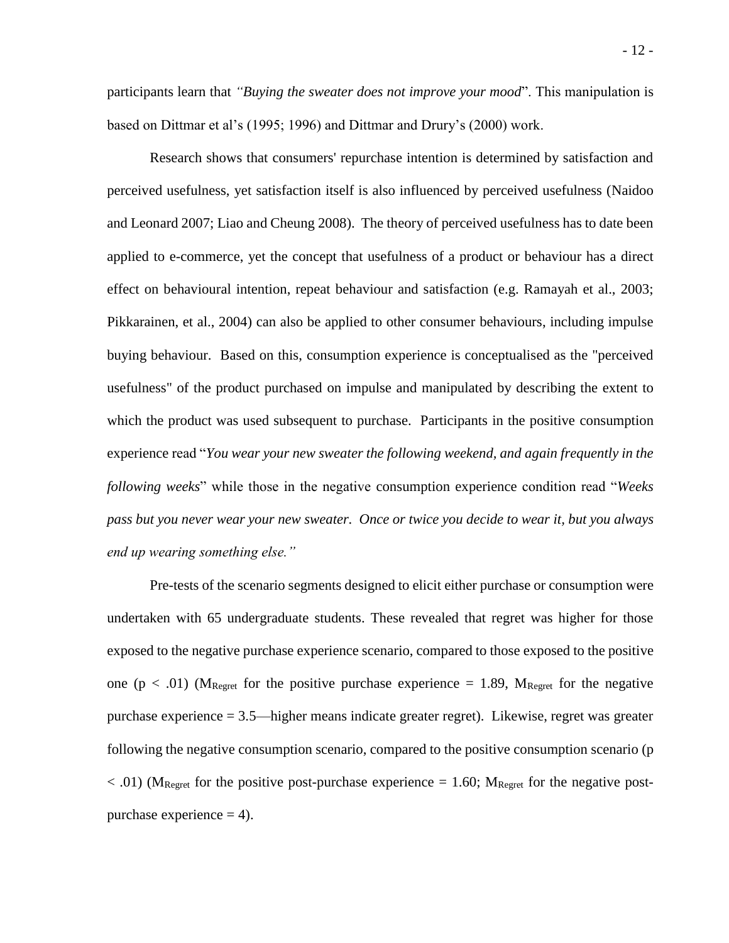participants learn that *"Buying the sweater does not improve your mood*". This manipulation is based on Dittmar et al's (1995; 1996) and Dittmar and Drury's (2000) work.

Research shows that consumers' repurchase intention is determined by satisfaction and perceived usefulness, yet satisfaction itself is also influenced by perceived usefulness (Naidoo and Leonard 2007; Liao and Cheung 2008). The theory of perceived usefulness has to date been applied to e-commerce, yet the concept that usefulness of a product or behaviour has a direct effect on behavioural intention, repeat behaviour and satisfaction (e.g. Ramayah et al., 2003; Pikkarainen, et al., 2004) can also be applied to other consumer behaviours, including impulse buying behaviour. Based on this, consumption experience is conceptualised as the "perceived usefulness" of the product purchased on impulse and manipulated by describing the extent to which the product was used subsequent to purchase. Participants in the positive consumption experience read "*You wear your new sweater the following weekend, and again frequently in the following weeks*" while those in the negative consumption experience condition read "*Weeks pass but you never wear your new sweater. Once or twice you decide to wear it, but you always end up wearing something else."* 

Pre-tests of the scenario segments designed to elicit either purchase or consumption were undertaken with 65 undergraduate students. These revealed that regret was higher for those exposed to the negative purchase experience scenario, compared to those exposed to the positive one ( $p < .01$ ) (M<sub>Regret</sub> for the positive purchase experience = 1.89, M<sub>Regret</sub> for the negative purchase experience = 3.5—higher means indicate greater regret). Likewise, regret was greater following the negative consumption scenario, compared to the positive consumption scenario (p  $< .01$ ) (M<sub>Regret</sub> for the positive post-purchase experience = 1.60; M<sub>Regret</sub> for the negative postpurchase experience  $= 4$ ).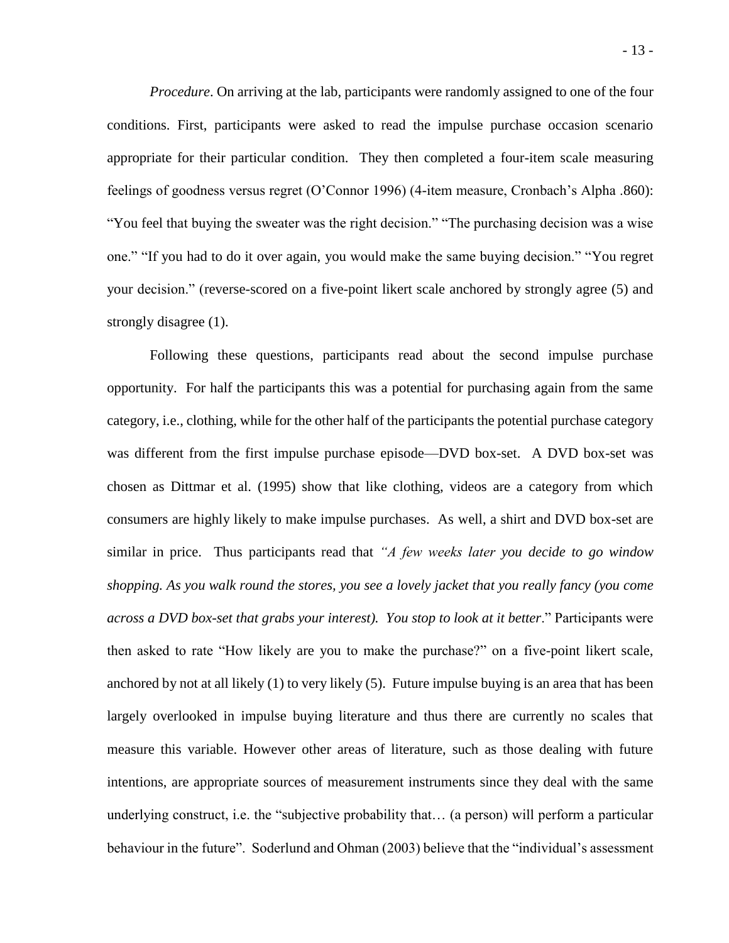*Procedure*. On arriving at the lab, participants were randomly assigned to one of the four conditions. First, participants were asked to read the impulse purchase occasion scenario appropriate for their particular condition. They then completed a four-item scale measuring feelings of goodness versus regret (O'Connor 1996) (4-item measure, Cronbach's Alpha .860): "You feel that buying the sweater was the right decision." "The purchasing decision was a wise one." "If you had to do it over again, you would make the same buying decision." "You regret your decision." (reverse-scored on a five-point likert scale anchored by strongly agree (5) and strongly disagree (1).

Following these questions, participants read about the second impulse purchase opportunity. For half the participants this was a potential for purchasing again from the same category, i.e., clothing, while for the other half of the participants the potential purchase category was different from the first impulse purchase episode—DVD box-set. A DVD box-set was chosen as Dittmar et al. (1995) show that like clothing, videos are a category from which consumers are highly likely to make impulse purchases. As well, a shirt and DVD box-set are similar in price. Thus participants read that *"A few weeks later you decide to go window shopping. As you walk round the stores, you see a lovely jacket that you really fancy (you come across a DVD box-set that grabs your interest). You stop to look at it better*." Participants were then asked to rate "How likely are you to make the purchase?" on a five-point likert scale, anchored by not at all likely (1) to very likely (5). Future impulse buying is an area that has been largely overlooked in impulse buying literature and thus there are currently no scales that measure this variable. However other areas of literature, such as those dealing with future intentions, are appropriate sources of measurement instruments since they deal with the same underlying construct, i.e. the "subjective probability that… (a person) will perform a particular behaviour in the future". Soderlund and Ohman (2003) believe that the "individual's assessment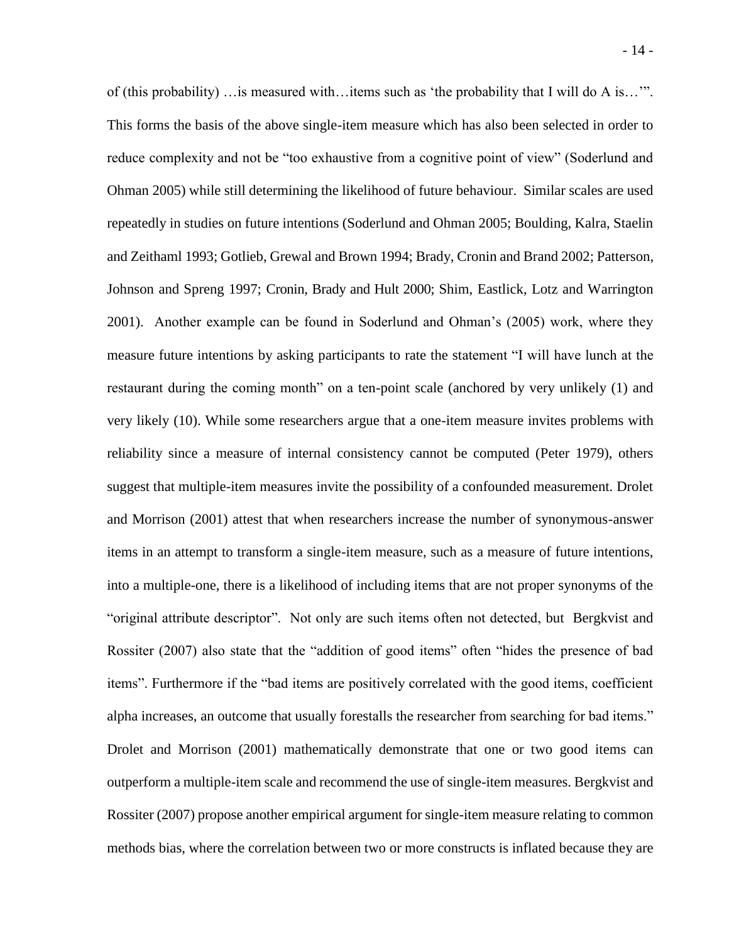of (this probability) …is measured with…items such as 'the probability that I will do A is…'". This forms the basis of the above single-item measure which has also been selected in order to reduce complexity and not be "too exhaustive from a cognitive point of view" (Soderlund and Ohman 2005) while still determining the likelihood of future behaviour. Similar scales are used repeatedly in studies on future intentions (Soderlund and Ohman 2005; Boulding, Kalra, Staelin and Zeithaml 1993; Gotlieb, Grewal and Brown 1994; Brady, Cronin and Brand 2002; Patterson, Johnson and Spreng 1997; Cronin, Brady and Hult 2000; [Shim,](http://www.sciencedirect.com/science?_ob=ArticleURL&_udi=B6VBH-4C6TFG5-2&_user=585204&_rdoc=1&_fmt=&_orig=search&_sort=d&view=c&_acct=C000029838&_version=1&_urlVersion=0&_userid=585204&md5=d1a39abb542f2fadeac5256888733643#bbib24#bbib24) Eastlick, Lotz and Warrington 2001). Another example can be found in Soderlund and Ohman's (2005) work, where they measure future intentions by asking participants to rate the statement "I will have lunch at the restaurant during the coming month" on a ten-point scale (anchored by very unlikely (1) and very likely (10). While some researchers argue that a one-item measure invites problems with reliability since a measure of internal consistency cannot be computed (Peter 1979), others suggest that multiple-item measures invite the possibility of a confounded measurement. Drolet and Morrison (2001) attest that when researchers increase the number of synonymous-answer items in an attempt to transform a single-item measure, such as a measure of future intentions, into a multiple-one, there is a likelihood of including items that are not proper synonyms of the "original attribute descriptor". Not only are such items often not detected, but Bergkvist and Rossiter (2007) also state that the "addition of good items" often "hides the presence of bad items". Furthermore if the "bad items are positively correlated with the good items, coefficient alpha increases, an outcome that usually forestalls the researcher from searching for bad items." Drolet and Morrison (2001) mathematically demonstrate that one or two good items can outperform a multiple-item scale and recommend the use of single-item measures. Bergkvist and Rossiter (2007) propose another empirical argument for single-item measure relating to common methods bias, where the correlation between two or more constructs is inflated because they are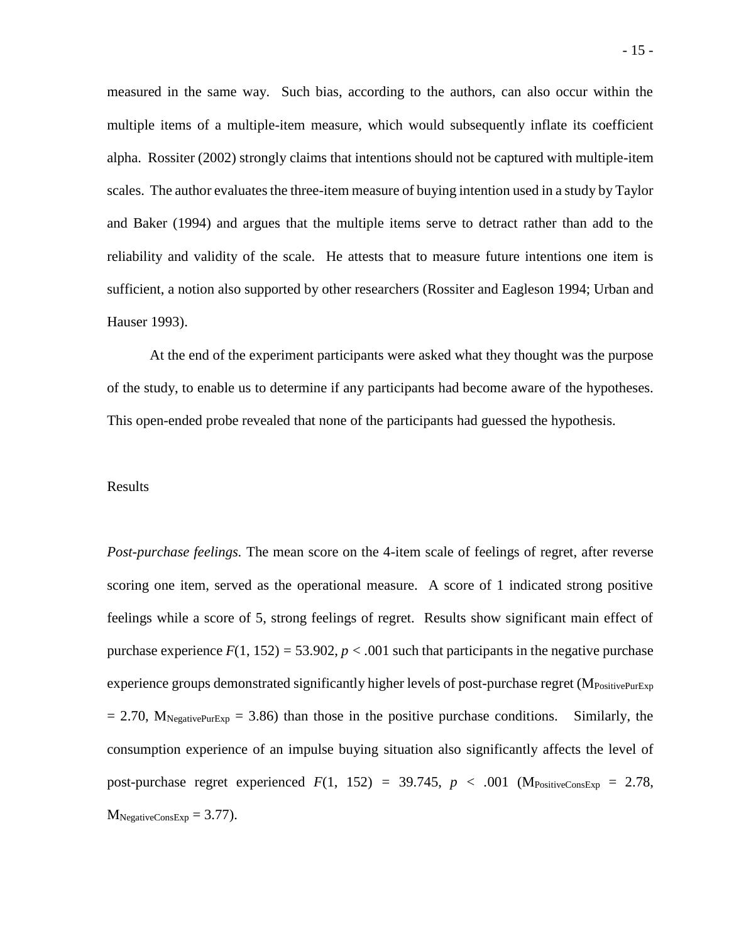measured in the same way. Such bias, according to the authors, can also occur within the multiple items of a multiple-item measure, which would subsequently inflate its coefficient alpha. Rossiter (2002) strongly claims that intentions should not be captured with multiple-item scales. The author evaluates the three-item measure of buying intention used in a study by Taylor and Baker (1994) and argues that the multiple items serve to detract rather than add to the reliability and validity of the scale. He attests that to measure future intentions one item is sufficient, a notion also supported by other researchers (Rossiter and Eagleson 1994; Urban and Hauser 1993).

At the end of the experiment participants were asked what they thought was the purpose of the study, to enable us to determine if any participants had become aware of the hypotheses. This open-ended probe revealed that none of the participants had guessed the hypothesis.

#### Results

*Post-purchase feelings.* The mean score on the 4-item scale of feelings of regret, after reverse scoring one item, served as the operational measure. A score of 1 indicated strong positive feelings while a score of 5, strong feelings of regret. Results show significant main effect of purchase experience  $F(1, 152) = 53.902$ ,  $p < .001$  such that participants in the negative purchase experience groups demonstrated significantly higher levels of post-purchase regret ( $M_{\text{PositivePurExp}}$  $= 2.70$ ,  $M_{NeqativePurExp} = 3.86$ ) than those in the positive purchase conditions. Similarly, the consumption experience of an impulse buying situation also significantly affects the level of post-purchase regret experienced  $F(1, 152) = 39.745$ ,  $p < .001$  (M<sub>PositiveConsExp</sub> = 2.78,  $M<sub>NegativeConsExp</sub> = 3.77$ .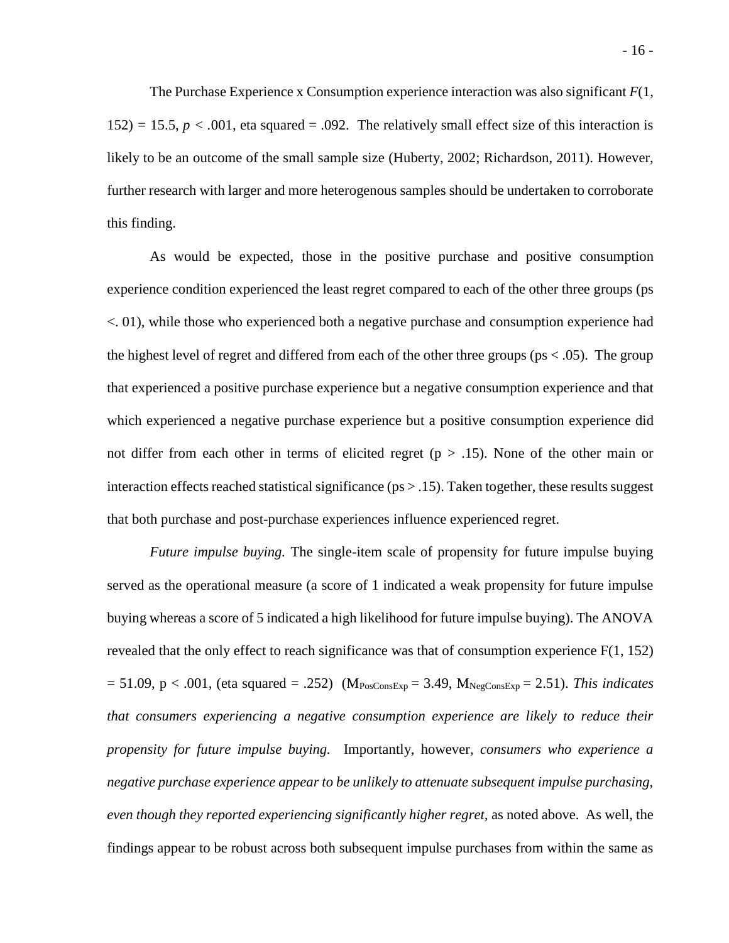The Purchase Experience x Consumption experience interaction was also significant *F*(1,  $152$ )  $= 15.5, p < .001$ , eta squared  $= .092$ . The relatively small effect size of this interaction is likely to be an outcome of the small sample size (Huberty, 2002; Richardson, 2011). However, further research with larger and more heterogenous samples should be undertaken to corroborate this finding.

As would be expected, those in the positive purchase and positive consumption experience condition experienced the least regret compared to each of the other three groups (ps <. 01), while those who experienced both a negative purchase and consumption experience had the highest level of regret and differed from each of the other three groups ( $ps < .05$ ). The group that experienced a positive purchase experience but a negative consumption experience and that which experienced a negative purchase experience but a positive consumption experience did not differ from each other in terms of elicited regret ( $p > .15$ ). None of the other main or interaction effects reached statistical significance ( $ps > .15$ ). Taken together, these results suggest that both purchase and post-purchase experiences influence experienced regret.

*Future impulse buying.* The single-item scale of propensity for future impulse buying served as the operational measure (a score of 1 indicated a weak propensity for future impulse buying whereas a score of 5 indicated a high likelihood for future impulse buying). The ANOVA revealed that the only effect to reach significance was that of consumption experience  $F(1, 152)$  $= 51.09$ , p < .001, (eta squared = .252) (M<sub>PosConsExp</sub> = 3.49, M<sub>NegConsExp</sub> = 2.51). *This indicates that consumers experiencing a negative consumption experience are likely to reduce their propensity for future impulse buying.* Importantly, however, *consumers who experience a negative purchase experience appear to be unlikely to attenuate subsequent impulse purchasing, even though they reported experiencing significantly higher regret,* as noted above. As well, the findings appear to be robust across both subsequent impulse purchases from within the same as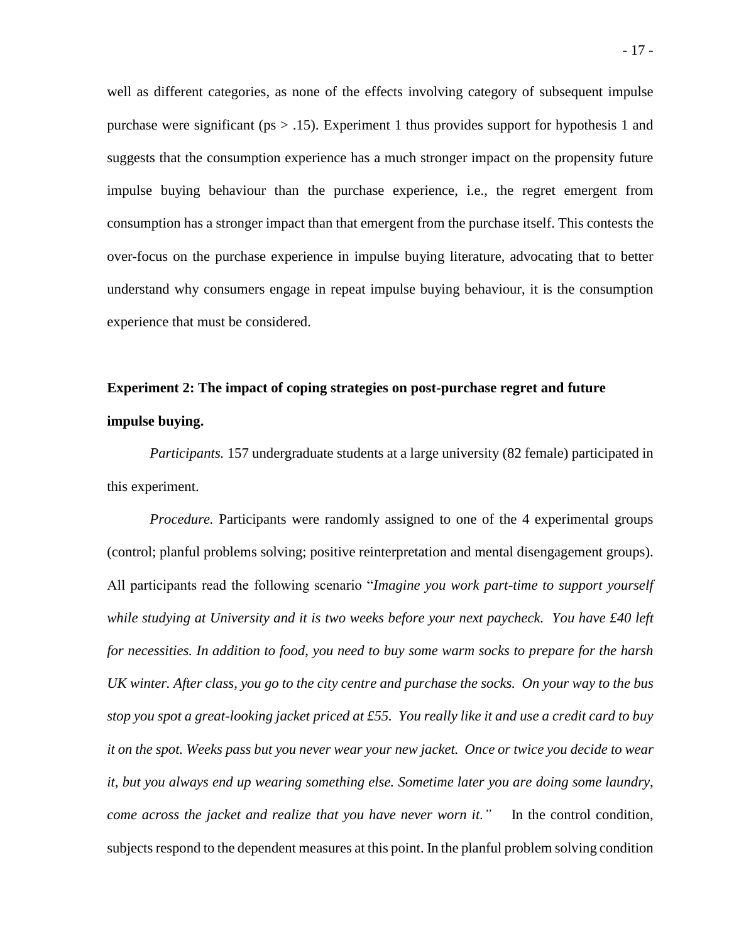well as different categories, as none of the effects involving category of subsequent impulse purchase were significant ( $ps > .15$ ). Experiment 1 thus provides support for hypothesis 1 and suggests that the consumption experience has a much stronger impact on the propensity future impulse buying behaviour than the purchase experience, i.e., the regret emergent from consumption has a stronger impact than that emergent from the purchase itself. This contests the over-focus on the purchase experience in impulse buying literature, advocating that to better understand why consumers engage in repeat impulse buying behaviour, it is the consumption experience that must be considered.

## **Experiment 2: The impact of coping strategies on post-purchase regret and future impulse buying.**

*Participants.* 157 undergraduate students at a large university (82 female) participated in this experiment.

*Procedure.* Participants were randomly assigned to one of the 4 experimental groups (control; planful problems solving; positive reinterpretation and mental disengagement groups). All participants read the following scenario "*Imagine you work part-time to support yourself while studying at University and it is two weeks before your next paycheck. You have £40 left for necessities. In addition to food, you need to buy some warm socks to prepare for the harsh UK winter. After class, you go to the city centre and purchase the socks. On your way to the bus stop you spot a great-looking jacket priced at £55. You really like it and use a credit card to buy it on the spot. Weeks pass but you never wear your new jacket. Once or twice you decide to wear it, but you always end up wearing something else. Sometime later you are doing some laundry, come across the jacket and realize that you have never worn it."* In the control condition, subjects respond to the dependent measures at this point. In the planful problem solving condition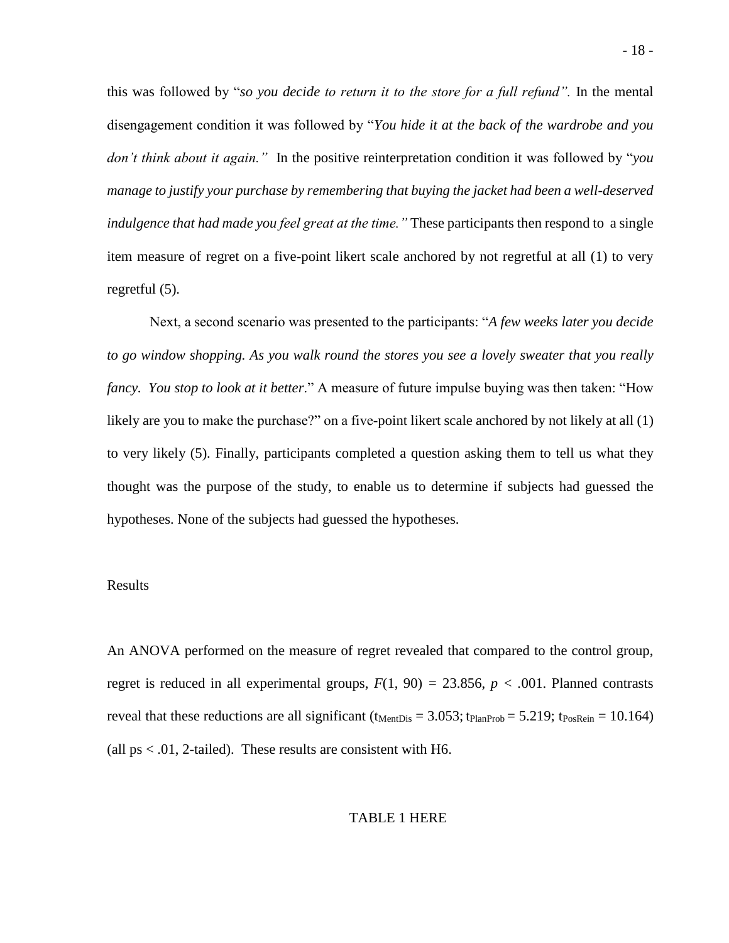this was followed by "*so you decide to return it to the store for a full refund".* In the mental disengagement condition it was followed by "*You hide it at the back of the wardrobe and you don't think about it again."* In the positive reinterpretation condition it was followed by "*you manage to justify your purchase by remembering that buying the jacket had been a well-deserved indulgence that had made you feel great at the time."* These participants then respond to a single item measure of regret on a five-point likert scale anchored by not regretful at all (1) to very regretful (5).

Next, a second scenario was presented to the participants: "*A few weeks later you decide to go window shopping. As you walk round the stores you see a lovely sweater that you really fancy. You stop to look at it better*." A measure of future impulse buying was then taken: "How likely are you to make the purchase?" on a five-point likert scale anchored by not likely at all (1) to very likely (5). Finally, participants completed a question asking them to tell us what they thought was the purpose of the study, to enable us to determine if subjects had guessed the hypotheses. None of the subjects had guessed the hypotheses.

#### Results

An ANOVA performed on the measure of regret revealed that compared to the control group, regret is reduced in all experimental groups,  $F(1, 90) = 23.856$ ,  $p < .001$ . Planned contrasts reveal that these reductions are all significant ( $t_{MentDis} = 3.053$ ;  $t_{PlanProb} = 5.219$ ;  $t_{PosRein} = 10.164$ ) (all  $ps < .01$ , 2-tailed). These results are consistent with H6.

#### TABLE 1 HERE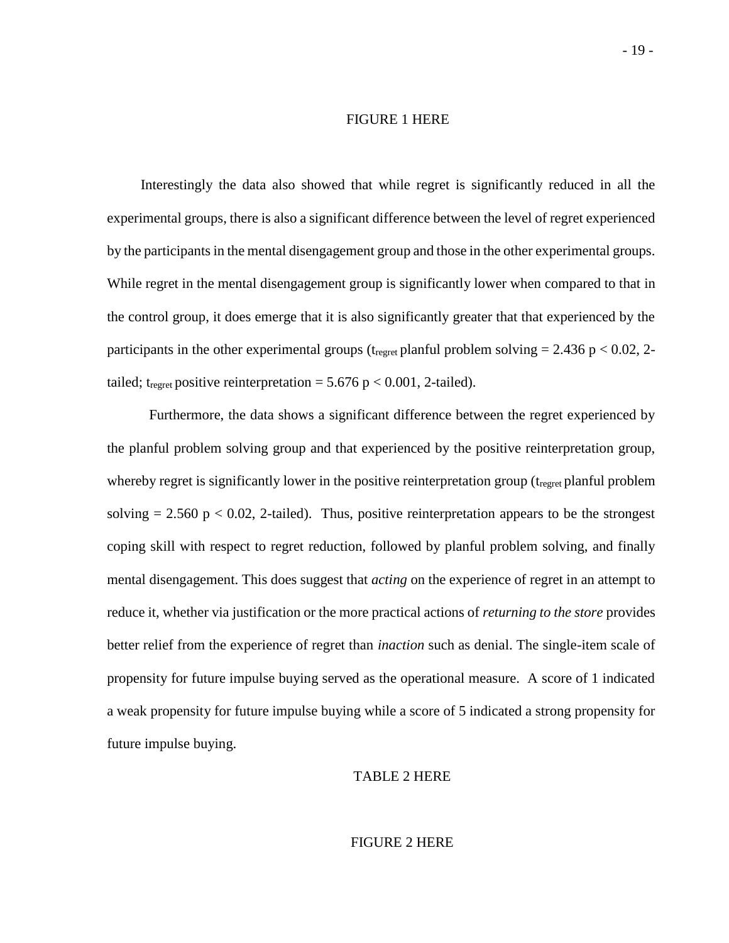#### FIGURE 1 HERE

Interestingly the data also showed that while regret is significantly reduced in all the experimental groups, there is also a significant difference between the level of regret experienced by the participants in the mental disengagement group and those in the other experimental groups. While regret in the mental disengagement group is significantly lower when compared to that in the control group, it does emerge that it is also significantly greater that that experienced by the participants in the other experimental groups ( $t_{\text{regret}}$  planful problem solving = 2.436 p < 0.02, 2tailed; t<sub>regret</sub> positive reinterpretation = 5.676 p < 0.001, 2-tailed).

Furthermore, the data shows a significant difference between the regret experienced by the planful problem solving group and that experienced by the positive reinterpretation group, whereby regret is significantly lower in the positive reinterpretation group ( $t_{\text{recret}}$  planful problem solving  $= 2.560 \text{ p} < 0.02$ , 2-tailed). Thus, positive reinterpretation appears to be the strongest coping skill with respect to regret reduction, followed by planful problem solving, and finally mental disengagement. This does suggest that *acting* on the experience of regret in an attempt to reduce it, whether via justification or the more practical actions of *returning to the store* provides better relief from the experience of regret than *inaction* such as denial. The single-item scale of propensity for future impulse buying served as the operational measure. A score of 1 indicated a weak propensity for future impulse buying while a score of 5 indicated a strong propensity for future impulse buying.

#### TABLE 2 HERE

#### FIGURE 2 HERE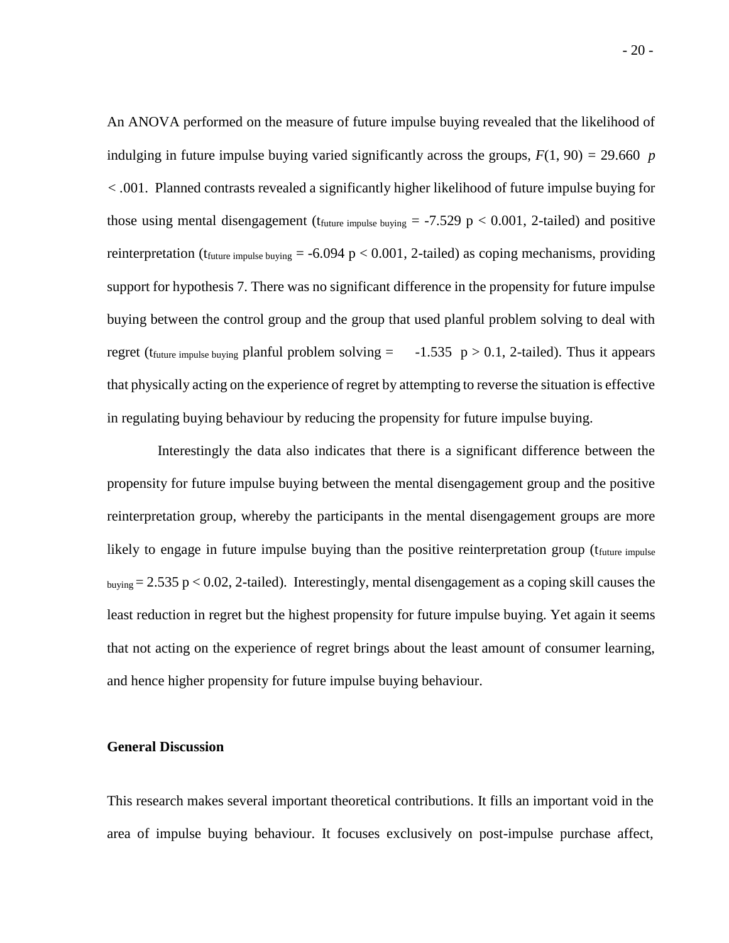An ANOVA performed on the measure of future impulse buying revealed that the likelihood of indulging in future impulse buying varied significantly across the groups,  $F(1, 90) = 29.660$  *p < .*001. Planned contrasts revealed a significantly higher likelihood of future impulse buying for those using mental disengagement ( $t_{future\ impulse\ buying} = -7.529 \text{ p} < 0.001$ , 2-tailed) and positive reinterpretation (t<sub>future impulse buying</sub>  $= -6.094$  p  $< 0.001$ , 2-tailed) as coping mechanisms, providing support for hypothesis 7. There was no significant difference in the propensity for future impulse buying between the control group and the group that used planful problem solving to deal with regret (t<sub>future impulse buying</sub> planful problem solving  $=$  -1.535  $p > 0.1$ , 2-tailed). Thus it appears that physically acting on the experience of regret by attempting to reverse the situation is effective in regulating buying behaviour by reducing the propensity for future impulse buying.

Interestingly the data also indicates that there is a significant difference between the propensity for future impulse buying between the mental disengagement group and the positive reinterpretation group, whereby the participants in the mental disengagement groups are more likely to engage in future impulse buying than the positive reinterpretation group (t<sub>future impulse</sub>  $_{\text{buying}} = 2.535 \text{ p} < 0.02$ , 2-tailed). Interestingly, mental disengagement as a coping skill causes the least reduction in regret but the highest propensity for future impulse buying. Yet again it seems that not acting on the experience of regret brings about the least amount of consumer learning, and hence higher propensity for future impulse buying behaviour.

#### **General Discussion**

This research makes several important theoretical contributions. It fills an important void in the area of impulse buying behaviour. It focuses exclusively on post-impulse purchase affect,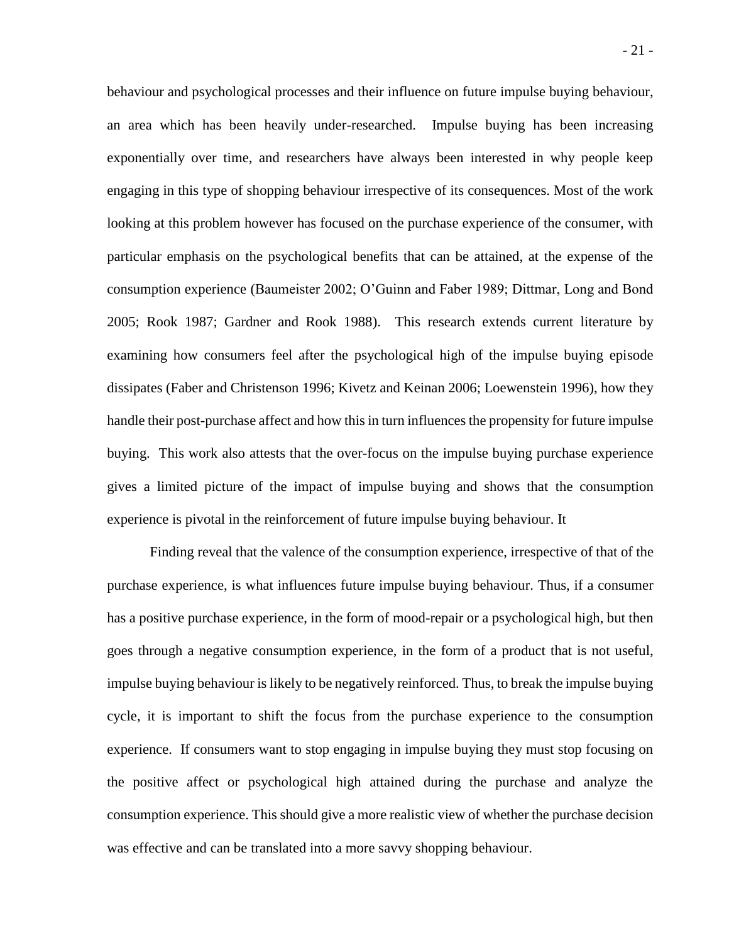behaviour and psychological processes and their influence on future impulse buying behaviour, an area which has been heavily under-researched. Impulse buying has been increasing exponentially over time, and researchers have always been interested in why people keep engaging in this type of shopping behaviour irrespective of its consequences. Most of the work looking at this problem however has focused on the purchase experience of the consumer, with particular emphasis on the psychological benefits that can be attained, at the expense of the consumption experience (Baumeister 2002; O'Guinn and Faber 1989; Dittmar, Long and Bond 2005; Rook 1987; Gardner and Rook 1988). This research extends current literature by examining how consumers feel after the psychological high of the impulse buying episode dissipates (Faber and Christenson 1996; Kivetz and Keinan 2006; Loewenstein 1996), how they handle their post-purchase affect and how this in turn influences the propensity for future impulse buying. This work also attests that the over-focus on the impulse buying purchase experience gives a limited picture of the impact of impulse buying and shows that the consumption experience is pivotal in the reinforcement of future impulse buying behaviour. It

Finding reveal that the valence of the consumption experience, irrespective of that of the purchase experience, is what influences future impulse buying behaviour. Thus, if a consumer has a positive purchase experience, in the form of mood-repair or a psychological high, but then goes through a negative consumption experience, in the form of a product that is not useful, impulse buying behaviour is likely to be negatively reinforced. Thus, to break the impulse buying cycle, it is important to shift the focus from the purchase experience to the consumption experience. If consumers want to stop engaging in impulse buying they must stop focusing on the positive affect or psychological high attained during the purchase and analyze the consumption experience. This should give a more realistic view of whether the purchase decision was effective and can be translated into a more savvy shopping behaviour.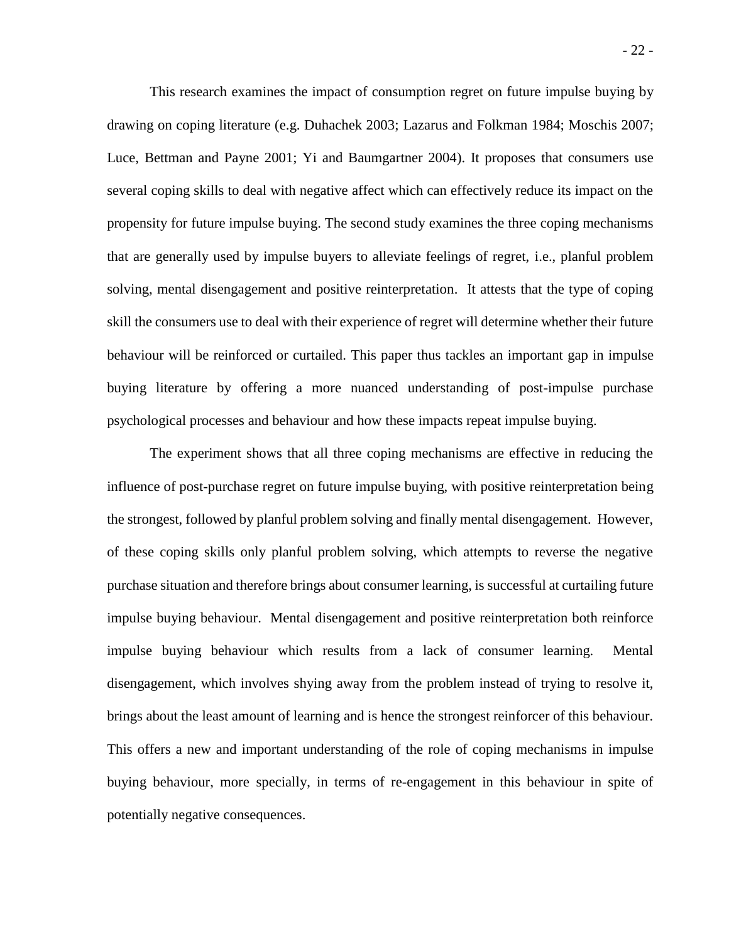This research examines the impact of consumption regret on future impulse buying by drawing on coping literature (e.g. Duhachek 2003; Lazarus and Folkman 1984; Moschis 2007; Luce, Bettman and Payne 2001; Yi and Baumgartner 2004). It proposes that consumers use several coping skills to deal with negative affect which can effectively reduce its impact on the propensity for future impulse buying. The second study examines the three coping mechanisms that are generally used by impulse buyers to alleviate feelings of regret, i.e., planful problem solving, mental disengagement and positive reinterpretation. It attests that the type of coping skill the consumers use to deal with their experience of regret will determine whether their future behaviour will be reinforced or curtailed. This paper thus tackles an important gap in impulse buying literature by offering a more nuanced understanding of post-impulse purchase psychological processes and behaviour and how these impacts repeat impulse buying.

The experiment shows that all three coping mechanisms are effective in reducing the influence of post-purchase regret on future impulse buying, with positive reinterpretation being the strongest, followed by planful problem solving and finally mental disengagement. However, of these coping skills only planful problem solving, which attempts to reverse the negative purchase situation and therefore brings about consumer learning, is successful at curtailing future impulse buying behaviour. Mental disengagement and positive reinterpretation both reinforce impulse buying behaviour which results from a lack of consumer learning. Mental disengagement, which involves shying away from the problem instead of trying to resolve it, brings about the least amount of learning and is hence the strongest reinforcer of this behaviour. This offers a new and important understanding of the role of coping mechanisms in impulse buying behaviour, more specially, in terms of re-engagement in this behaviour in spite of potentially negative consequences.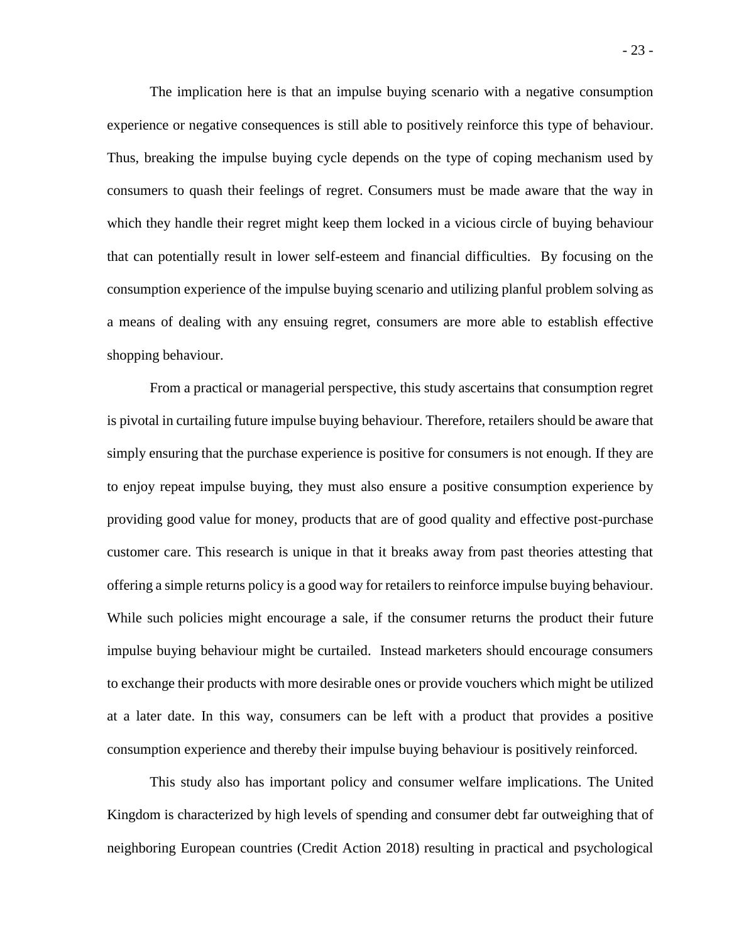The implication here is that an impulse buying scenario with a negative consumption experience or negative consequences is still able to positively reinforce this type of behaviour. Thus, breaking the impulse buying cycle depends on the type of coping mechanism used by consumers to quash their feelings of regret. Consumers must be made aware that the way in which they handle their regret might keep them locked in a vicious circle of buying behaviour that can potentially result in lower self-esteem and financial difficulties. By focusing on the consumption experience of the impulse buying scenario and utilizing planful problem solving as a means of dealing with any ensuing regret, consumers are more able to establish effective shopping behaviour.

From a practical or managerial perspective, this study ascertains that consumption regret is pivotal in curtailing future impulse buying behaviour. Therefore, retailers should be aware that simply ensuring that the purchase experience is positive for consumers is not enough. If they are to enjoy repeat impulse buying, they must also ensure a positive consumption experience by providing good value for money, products that are of good quality and effective post-purchase customer care. This research is unique in that it breaks away from past theories attesting that offering a simple returns policy is a good way for retailers to reinforce impulse buying behaviour. While such policies might encourage a sale, if the consumer returns the product their future impulse buying behaviour might be curtailed. Instead marketers should encourage consumers to exchange their products with more desirable ones or provide vouchers which might be utilized at a later date. In this way, consumers can be left with a product that provides a positive consumption experience and thereby their impulse buying behaviour is positively reinforced.

This study also has important policy and consumer welfare implications. The United Kingdom is characterized by high levels of spending and consumer debt far outweighing that of neighboring European countries (Credit Action 2018) resulting in practical and psychological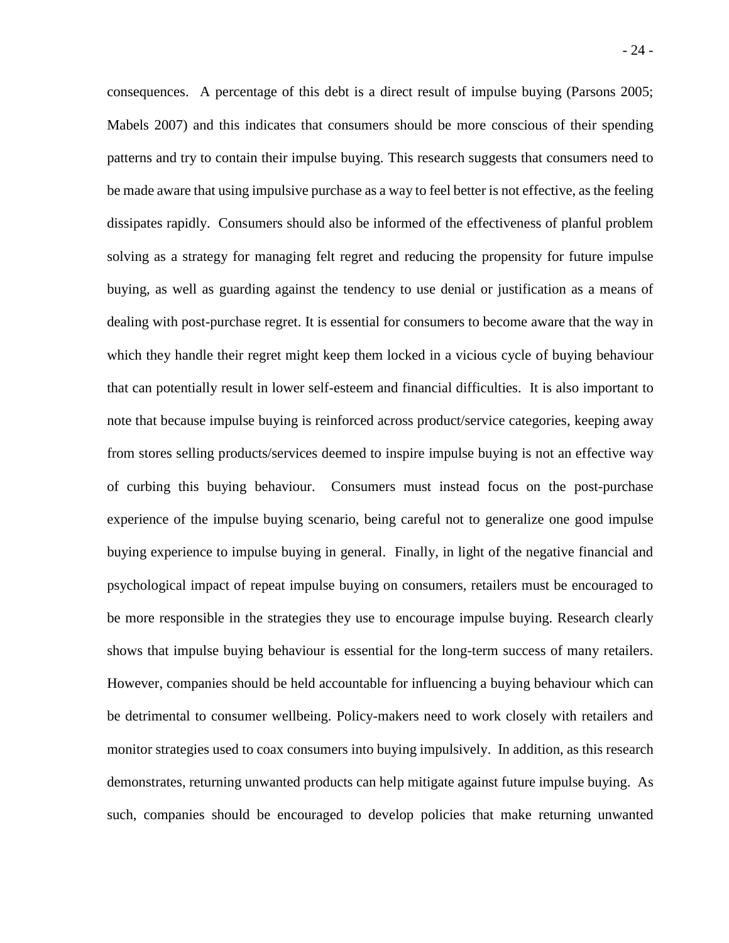- 24 consequences. A percentage of this debt is a direct result of impulse buying (Parsons 2005;

Mabels 2007) and this indicates that consumers should be more conscious of their spending patterns and try to contain their impulse buying. This research suggests that consumers need to be made aware that using impulsive purchase as a way to feel better is not effective, as the feeling dissipates rapidly. Consumers should also be informed of the effectiveness of planful problem solving as a strategy for managing felt regret and reducing the propensity for future impulse buying, as well as guarding against the tendency to use denial or justification as a means of dealing with post-purchase regret. It is essential for consumers to become aware that the way in which they handle their regret might keep them locked in a vicious cycle of buying behaviour that can potentially result in lower self-esteem and financial difficulties. It is also important to note that because impulse buying is reinforced across product/service categories, keeping away from stores selling products/services deemed to inspire impulse buying is not an effective way of curbing this buying behaviour. Consumers must instead focus on the post-purchase experience of the impulse buying scenario, being careful not to generalize one good impulse buying experience to impulse buying in general. Finally, in light of the negative financial and psychological impact of repeat impulse buying on consumers, retailers must be encouraged to be more responsible in the strategies they use to encourage impulse buying. Research clearly shows that impulse buying behaviour is essential for the long-term success of many retailers. However, companies should be held accountable for influencing a buying behaviour which can be detrimental to consumer wellbeing. Policy-makers need to work closely with retailers and monitor strategies used to coax consumers into buying impulsively. In addition, as this research demonstrates, returning unwanted products can help mitigate against future impulse buying. As such, companies should be encouraged to develop policies that make returning unwanted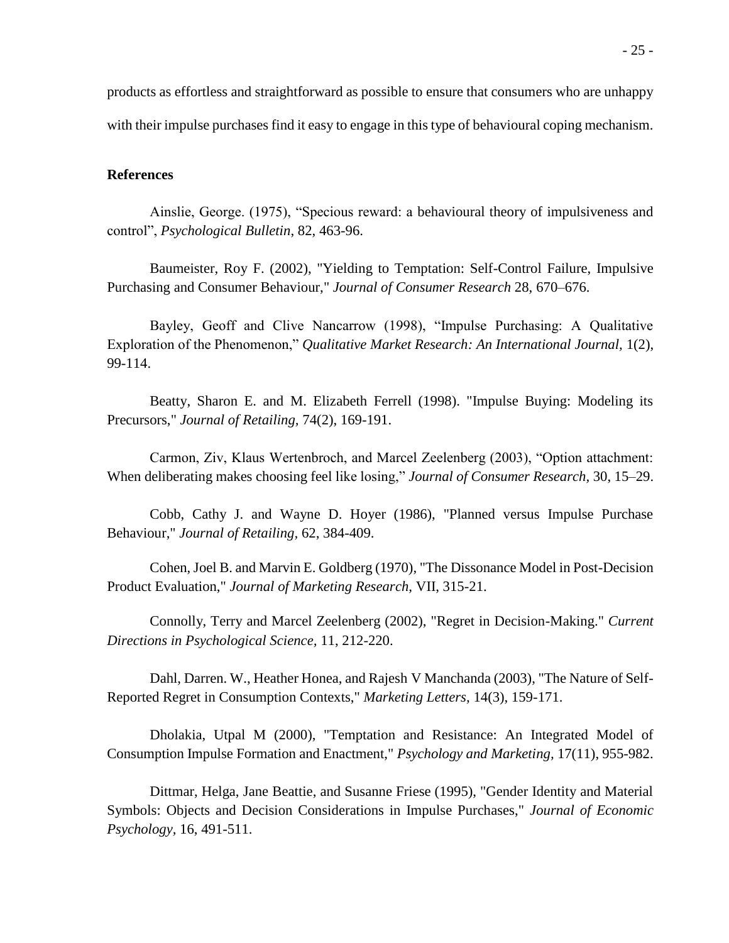products as effortless and straightforward as possible to ensure that consumers who are unhappy with their impulse purchases find it easy to engage in this type of behavioural coping mechanism.

#### **References**

Ainslie, George. (1975), "Specious reward: a behavioural theory of impulsiveness and control", *Psychological Bulletin*, 82, 463-96.

Baumeister, Roy F. (2002), "Yielding to Temptation: Self-Control Failure, Impulsive Purchasing and Consumer Behaviour," *Journal of Consumer Research* 28, 670–676.

Bayley, Geoff and Clive Nancarrow (1998), "Impulse Purchasing: A Qualitative Exploration of the Phenomenon," *Qualitative Market Research: An International Journal,* 1(2), 99-114.

Beatty, Sharon E. and M. Elizabeth Ferrell (1998). "Impulse Buying: Modeling its Precursors," *Journal of Retailing,* 74(2), 169-191.

Carmon, Ziv, Klaus Wertenbroch, and Marcel Zeelenberg (2003), "Option attachment: When deliberating makes choosing feel like losing," *Journal of Consumer Research,* 30, 15–29.

Cobb, Cathy J. and Wayne D. Hoyer (1986), "Planned versus Impulse Purchase Behaviour," *Journal of Retailing,* 62, 384-409.

Cohen, Joel B. and Marvin E. Goldberg (1970), "The Dissonance Model in Post-Decision Product Evaluation," *Journal of Marketing Research,* VII, 315-21.

Connolly, Terry and Marcel Zeelenberg (2002), "Regret in Decision-Making." *Current Directions in Psychological Science,* 11, 212-220.

Dahl, Darren. W., Heather Honea, and Rajesh V Manchanda (2003), "The Nature of Self-Reported Regret in Consumption Contexts," *Marketing Letters,* 14(3), 159-171.

Dholakia, Utpal M (2000), "Temptation and Resistance: An Integrated Model of Consumption Impulse Formation and Enactment," *Psychology and Marketing,* 17(11), 955-982.

Dittmar, Helga, Jane Beattie, and Susanne Friese (1995), "Gender Identity and Material Symbols: Objects and Decision Considerations in Impulse Purchases," *Journal of Economic Psychology,* 16, 491-511.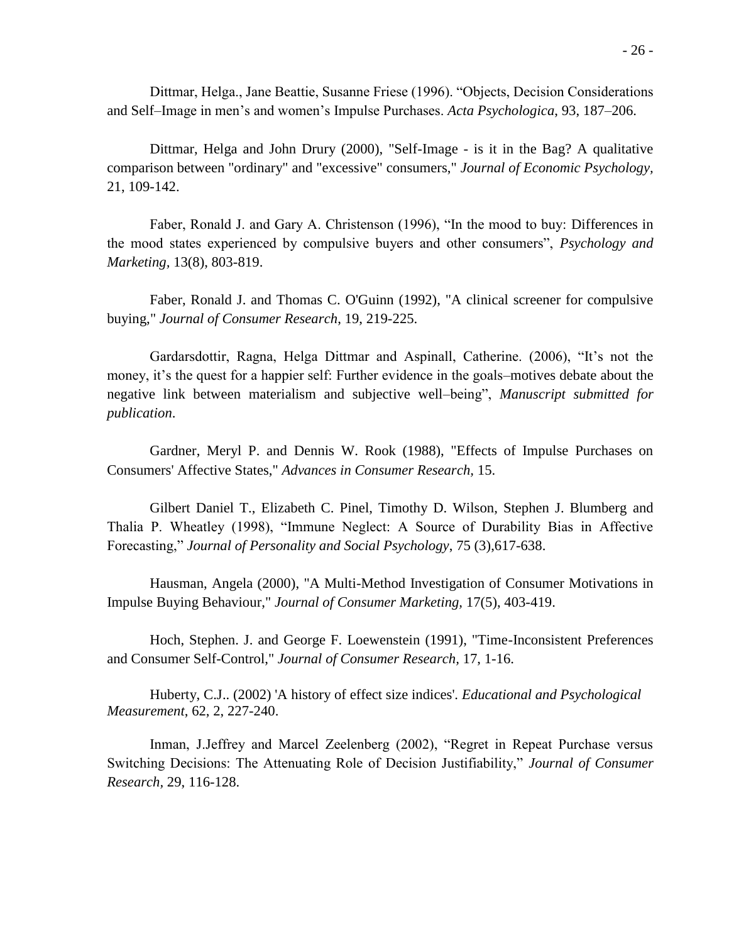Dittmar, Helga., Jane Beattie, Susanne Friese (1996). "Objects, Decision Considerations and Self–Image in men's and women's Impulse Purchases. *Acta Psychologica*, 93, 187–206.

Dittmar, Helga and John Drury (2000), "Self-Image - is it in the Bag? A qualitative comparison between "ordinary" and "excessive" consumers," *Journal of Economic Psychology,* 21, 109-142.

Faber, Ronald J. and Gary A. Christenson (1996), "In the mood to buy: Differences in the mood states experienced by compulsive buyers and other consumers", *Psychology and Marketing,* 13(8), 803-819.

Faber, Ronald J. and Thomas C. O'Guinn (1992), "A clinical screener for compulsive buying," *Journal of Consumer Research*, 19, 219-225.

Gardarsdottir, Ragna, Helga Dittmar and Aspinall, Catherine. (2006), "It's not the money, it's the quest for a happier self: Further evidence in the goals–motives debate about the negative link between materialism and subjective well–being", *Manuscript submitted for publication*.

Gardner, Meryl P. and Dennis W. Rook (1988), "Effects of Impulse Purchases on Consumers' Affective States," *Advances in Consumer Research,* 15.

Gilbert Daniel T., Elizabeth C. Pinel, Timothy D. Wilson, Stephen J. Blumberg and Thalia P. Wheatley (1998), "Immune Neglect: A Source of Durability Bias in Affective Forecasting," *Journal of Personality and Social Psychology*, 75 (3),617-638.

Hausman, Angela (2000), "A Multi-Method Investigation of Consumer Motivations in Impulse Buying Behaviour," *Journal of Consumer Marketing,* 17(5), 403-419.

Hoch, Stephen. J. and George F. Loewenstein (1991), "Time-Inconsistent Preferences and Consumer Self-Control," *Journal of Consumer Research,* 17, 1-16.

Huberty, C.J.. (2002) 'A history of effect size indices'. *Educational and Psychological Measurement*, 62, 2, 227-240.

Inman, J.Jeffrey and Marcel Zeelenberg (2002), "Regret in Repeat Purchase versus Switching Decisions: The Attenuating Role of Decision Justifiability," *Journal of Consumer Research,* 29, 116-128.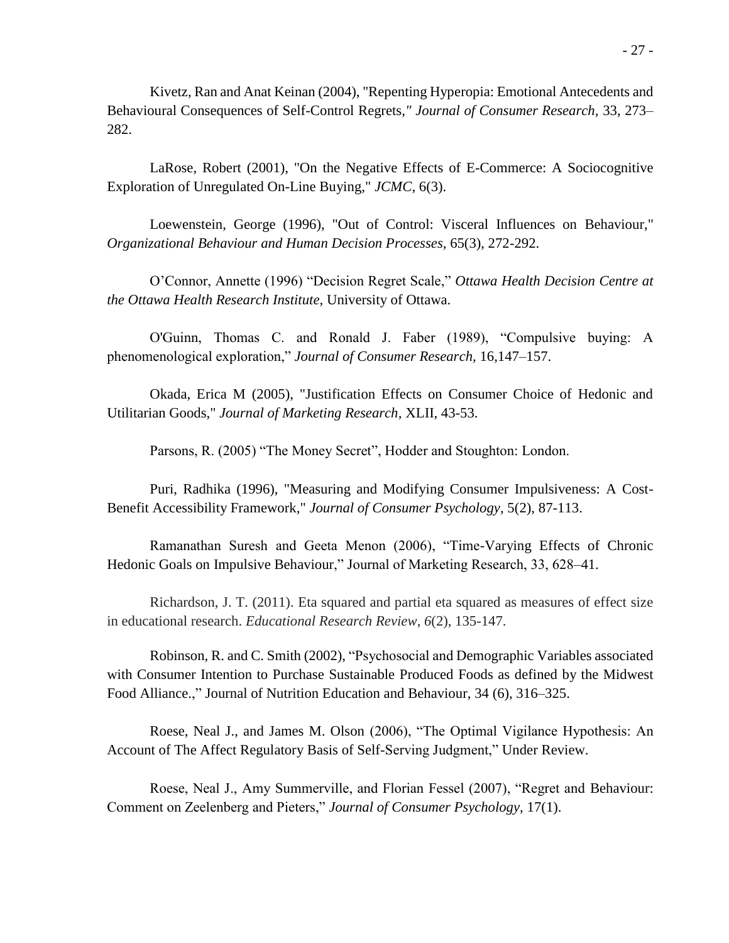Kivetz, Ran and Anat Keinan (2004), "Repenting Hyperopia: Emotional Antecedents and Behavioural Consequences of Self-Control Regrets,*" Journal of Consumer Research,* 33, 273– 282.

LaRose, Robert (2001), "On the Negative Effects of E-Commerce: A Sociocognitive Exploration of Unregulated On-Line Buying," *JCMC,* 6(3).

Loewenstein, George (1996), "Out of Control: Visceral Influences on Behaviour," *Organizational Behaviour and Human Decision Processes,* 65(3), 272-292.

O'Connor, Annette (1996) "Decision Regret Scale," *Ottawa Health Decision Centre at the Ottawa Health Research Institute*, University of Ottawa.

O'Guinn, Thomas C. and Ronald J. Faber (1989), "Compulsive buying: A phenomenological exploration," *Journal of Consumer Research,* 16,147–157.

Okada, Erica M (2005), "Justification Effects on Consumer Choice of Hedonic and Utilitarian Goods," *Journal of Marketing Research,* XLII, 43-53.

Parsons, R. (2005) "The Money Secret", Hodder and Stoughton: London.

Puri, Radhika (1996), "Measuring and Modifying Consumer Impulsiveness: A Cost-Benefit Accessibility Framework," *Journal of Consumer Psychology,* 5(2), 87-113.

Ramanathan Suresh and Geeta Menon (2006), "Time-Varying Effects of Chronic Hedonic Goals on Impulsive Behaviour," Journal of Marketing Research, 33, 628–41.

Richardson, J. T. (2011). Eta squared and partial eta squared as measures of effect size in educational research. *Educational Research Review*, *6*(2), 135-147.

Robinson, R. and C. Smith (2002), "Psychosocial and Demographic Variables associated with Consumer Intention to Purchase Sustainable Produced Foods as defined by the Midwest Food Alliance.," Journal of Nutrition Education and Behaviour, 34 (6), 316–325.

Roese, Neal J., and James M. Olson (2006), "The Optimal Vigilance Hypothesis: An Account of The Affect Regulatory Basis of Self-Serving Judgment," Under Review.

Roese, Neal J., Amy Summerville, and Florian Fessel (2007), "Regret and Behaviour: Comment on Zeelenberg and Pieters," *Journal of Consumer Psychology,* 17(1).